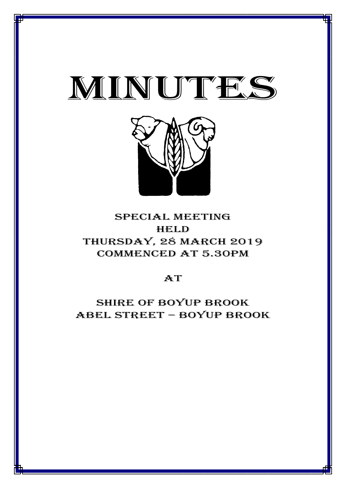

*SPECIAL COUNCIL MINUTES HELD ON 28 MARCH 2019\_\_\_\_\_\_\_\_\_\_\_\_\_\_\_\_\_\_\_\_\_\_\_\_\_\_\_\_\_\_\_\_\_\_\_\_\_\_\_\_\_\_\_\_\_\_\_\_\_\_\_*



# special meeting **HELD** Thursday, 28 MARCH 2019 Commenced at 5.30PM

# $AT$

Shire of boyup brook ABEL STREET – BOYUP BROOK

1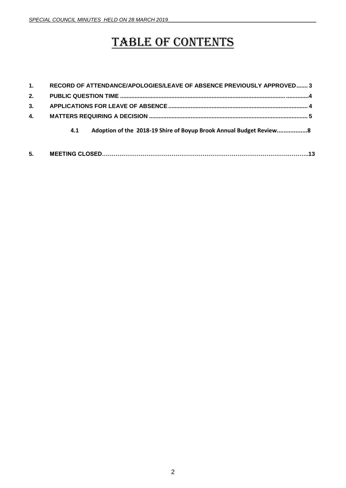# TABLE OF CONTENTS

| 1. | RECORD OF ATTENDANCE/APOLOGIES/LEAVE OF ABSENCE PREVIOUSLY APPROVED 3     |  |
|----|---------------------------------------------------------------------------|--|
| 2. |                                                                           |  |
| 3. |                                                                           |  |
| 4. |                                                                           |  |
|    | Adoption of the 2018-19 Shire of Boyup Brook Annual Budget Review8<br>4.1 |  |
| 5. |                                                                           |  |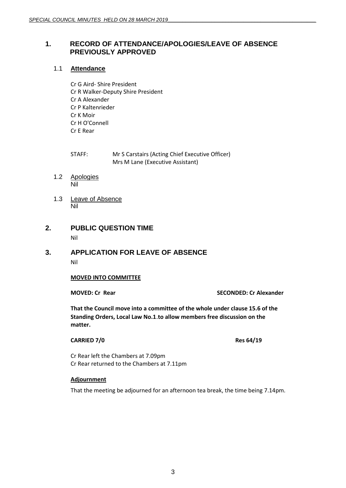# <span id="page-2-0"></span>**1. RECORD OF ATTENDANCE/APOLOGIES/LEAVE OF ABSENCE PREVIOUSLY APPROVED**

# 1.1 **Attendance**

Cr G Aird- Shire President Cr R Walker-Deputy Shire President Cr A Alexander Cr P Kaltenrieder Cr K Moir Cr H O'Connell Cr E Rear

STAFF: Mr S Carstairs (Acting Chief Executive Officer) Mrs M Lane (Executive Assistant)

- 1.2 Apologies Nil
- 1.3 Leave of Absence Nil
- **2. PUBLIC QUESTION TIME** Nil

# **3. APPLICATION FOR LEAVE OF ABSENCE** Nil

# **MOVED INTO COMMITTEE**

**MOVED: Cr Rear SECONDED: Cr Alexander**

**That the Council move into a committee of the whole under clause 15.6 of the Standing Orders, Local Law No.1**.**to allow members free discussion on the matter.**

#### **CARRIED 7/0 Res 64/19**

Cr Rear left the Chambers at 7.09pm Cr Rear returned to the Chambers at 7.11pm

#### **Adjournment**

That the meeting be adjourned for an afternoon tea break, the time being 7.14pm.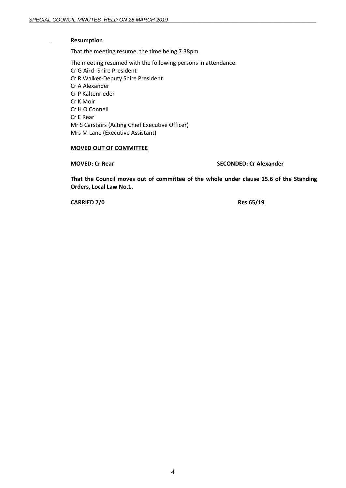#### **Resumption**

That the meeting resume, the time being 7.38pm.

The meeting resumed with the following persons in attendance. Cr G Aird- Shire President Cr R Walker-Deputy Shire President Cr A Alexander Cr P Kaltenrieder Cr K Moir Cr H O'Connell Cr E Rear Mr S Carstairs (Acting Chief Executive Officer) Mrs M Lane (Executive Assistant)

# **MOVED OUT OF COMMITTEE**

**MOVED: Cr Rear SECONDED: Cr Alexander**

**That the Council moves out of committee of the whole under clause 15.6 of the Standing Orders, Local Law No.1.**

**CARRIED 7/0 Res 65/19**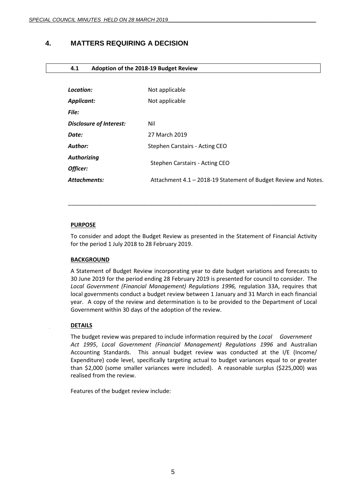# <span id="page-4-0"></span>**4. MATTERS REQUIRING A DECISION**

#### **4.1 Adoption of the 2018-19 Budget Review**

| Location:                      | Not applicable                                                 |  |
|--------------------------------|----------------------------------------------------------------|--|
| <b>Applicant:</b>              | Not applicable                                                 |  |
| <b>File:</b>                   |                                                                |  |
| <b>Disclosure of Interest:</b> | Nil                                                            |  |
| Date:                          | 27 March 2019                                                  |  |
| Author:                        | Stephen Carstairs - Acting CEO                                 |  |
| <b>Authorizing</b>             |                                                                |  |
| Officer:                       | Stephen Carstairs - Acting CEO                                 |  |
| <b>Attachments:</b>            | Attachment 4.1 - 2018-19 Statement of Budget Review and Notes. |  |
|                                |                                                                |  |

# **PURPOSE**

To consider and adopt the Budget Review as presented in the Statement of Financial Activity for the period 1 July 2018 to 28 February 2019.

\_\_\_\_\_\_\_\_\_\_\_\_\_\_\_\_\_\_\_\_\_\_\_\_\_\_\_\_\_\_\_\_\_\_\_\_\_\_\_\_\_\_\_\_\_\_\_\_\_\_\_\_\_\_\_\_\_\_\_\_\_\_\_\_\_\_\_\_\_\_\_\_\_\_\_\_\_\_

# **BACKGROUND**

A Statement of Budget Review incorporating year to date budget variations and forecasts to 30 June 2019 for the period ending 28 February 2019 is presented for council to consider. The *Local Government (Financial Management) Regulations 1996,* regulation 33A, requires that local governments conduct a budget review between 1 January and 31 March in each financial year. A copy of the review and determination is to be provided to the Department of Local Government within 30 days of the adoption of the review.

# **DETAILS**

The budget review was prepared to include information required by the *Local Government Act 1995*, *Local Government (Financial Management) Regulations 1996* and Australian Accounting Standards. This annual budget review was conducted at the I/E (Income/ Expenditure) code level, specifically targeting actual to budget variances equal to or greater than \$2,000 (some smaller variances were included). A reasonable surplus (\$225,000) was realised from the review.

Features of the budget review include: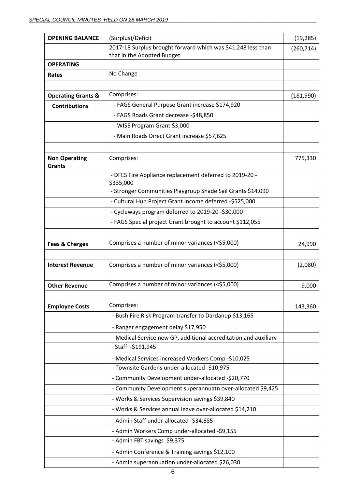| <b>OPENING BALANCE</b>                | (Surplus)/Deficit                                                                           | (19, 285)  |
|---------------------------------------|---------------------------------------------------------------------------------------------|------------|
|                                       | 2017-18 Surplus brought forward which was \$41,248 less than<br>that in the Adopted Budget. | (260, 714) |
| <b>OPERATING</b>                      |                                                                                             |            |
| Rates                                 | No Change                                                                                   |            |
|                                       |                                                                                             |            |
| <b>Operating Grants &amp;</b>         | Comprises:                                                                                  | (181,990)  |
| <b>Contributions</b>                  | - FAGS General Purpose Grant increase \$174,920                                             |            |
|                                       | - FAGS Roads Grant decrease -\$48,850                                                       |            |
|                                       | - WISE Program Grant \$3,000                                                                |            |
|                                       | - Main Roads Direct Grant increase \$57,625                                                 |            |
|                                       |                                                                                             |            |
| <b>Non Operating</b><br><b>Grants</b> | Comprises:                                                                                  | 775,330    |
|                                       | - DFES Fire Appliance replacement deferred to 2019-20 -<br>\$335,000                        |            |
|                                       | - Stronger Communities Playgroup Shade Sail Grants \$14,090                                 |            |
|                                       | - Cultural Hub Project Grant Income deferred -\$525,000                                     |            |
|                                       | - Cycleways program deferred to 2019-20 -\$30,000                                           |            |
|                                       | - FAGS Special project Grant brought to account \$112,055                                   |            |
|                                       |                                                                                             |            |
| <b>Fees &amp; Charges</b>             | Comprises a number of minor variances (<\$5,000)                                            | 24,990     |
|                                       |                                                                                             |            |
| <b>Interest Revenue</b>               | Comprises a number of minor variances (<\$5,000)                                            | (2,080)    |
|                                       |                                                                                             |            |
| <b>Other Revenue</b>                  | Comprises a number of minor variances (<\$5,000)                                            | 9,000      |
|                                       |                                                                                             |            |
| <b>Employee Costs</b>                 | Comprises:                                                                                  | 143,360    |
|                                       | - Bush Fire Risk Program transfer to Dardanup \$13,165                                      |            |
|                                       | - Ranger engagement delay \$17,950                                                          |            |
|                                       | - Medical Service new GP, additional accreditation and auxiliary                            |            |
|                                       | Staff -\$191,945                                                                            |            |
|                                       | - Medical Services increased Workers Comp -\$10,025                                         |            |
|                                       | - Townsite Gardens under-allocated -\$10,975                                                |            |
|                                       | - Community Development under-allocated -\$20,770                                           |            |
|                                       | - Community Development superannuatn over-allocated \$9,425                                 |            |
|                                       | - Works & Services Supervision savings \$39,840                                             |            |
|                                       | - Works & Services annual leave over-allocated \$14,210                                     |            |
|                                       | - Admin Staff under-allocated -\$34,685                                                     |            |
|                                       | - Admin Workers Comp under-allocated -\$9,155                                               |            |
|                                       | - Admin FBT savings \$9,375                                                                 |            |
|                                       | - Admin Conference & Training savings \$12,100                                              |            |
|                                       | - Admin superannuation under-allocated \$26,030                                             |            |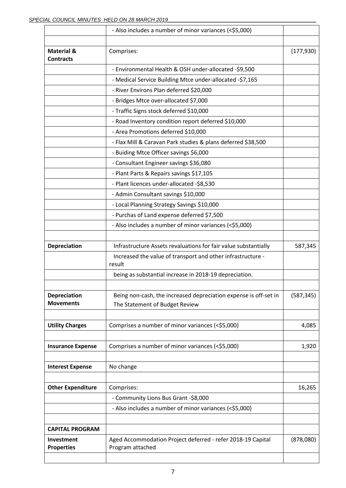|                                           | - Also includes a number of minor variances (<\$5,000)                                             |            |
|-------------------------------------------|----------------------------------------------------------------------------------------------------|------------|
|                                           |                                                                                                    |            |
| <b>Material &amp;</b><br><b>Contracts</b> | Comprises:                                                                                         | (177, 930) |
|                                           | - Environmental Health & OSH under-allocated -\$9,500                                              |            |
|                                           | - Medical Service Building Mtce under-allocated -\$7,165                                           |            |
|                                           | - River Environs Plan deferred \$20,000                                                            |            |
|                                           | - Bridges Mtce over-allocated \$7,000                                                              |            |
|                                           | - Traffic Signs stock deferred \$10,000                                                            |            |
|                                           | - Road Inventory condition report deferred \$10,000                                                |            |
|                                           | - Area Promotions deferred \$10,000                                                                |            |
|                                           | - Flax Mill & Caravan Park studies & plans deferred \$38,500                                       |            |
|                                           | - Buiding Mtce Officer savings \$6,000                                                             |            |
|                                           | - Consultant Engineer savings \$36,080                                                             |            |
|                                           | - Plant Parts & Repairs savings \$17,105                                                           |            |
|                                           | - Plant licences under-allocated -\$8,530                                                          |            |
|                                           | - Admin Consultant savings \$10,000                                                                |            |
|                                           | - Local Planning Strategy Savings \$10,000                                                         |            |
|                                           | - Purchas of Land expense deferred \$7,500                                                         |            |
|                                           | - Also includes a number of minor variances (<\$5,000)                                             |            |
|                                           |                                                                                                    |            |
| Depreciation                              | Infrastructure Assets revaluations for fair value substantially                                    | 587,345    |
|                                           | Increased the value of transport and other infrastructure -<br>result                              |            |
|                                           | being as substantial increase in 2018-19 depreciation.                                             |            |
| <b>Depreciation</b><br><b>Movements</b>   | Being non-cash, the increased depreciation expense is off-set in<br>The Statement of Budget Review | (587, 345) |
| <b>Utility Charges</b>                    | Comprises a number of minor variances (<\$5,000)                                                   | 4,085      |
|                                           |                                                                                                    |            |
| <b>Insurance Expense</b>                  | Comprises a number of minor variances (<\$5,000)                                                   | 1,920      |
| <b>Interest Expense</b>                   | No change                                                                                          |            |
|                                           |                                                                                                    |            |
| <b>Other Expenditure</b>                  | Comprises:                                                                                         | 16,265     |
|                                           | - Community Lions Bus Grant -\$8,000                                                               |            |
|                                           | - Also includes a number of minor variances (<\$5,000)                                             |            |
|                                           |                                                                                                    |            |
| <b>CAPITAL PROGRAM</b>                    |                                                                                                    |            |
| Investment<br><b>Properties</b>           | Aged Accommodation Project deferred - refer 2018-19 Capital<br>Program attached                    | (878,080)  |
|                                           |                                                                                                    |            |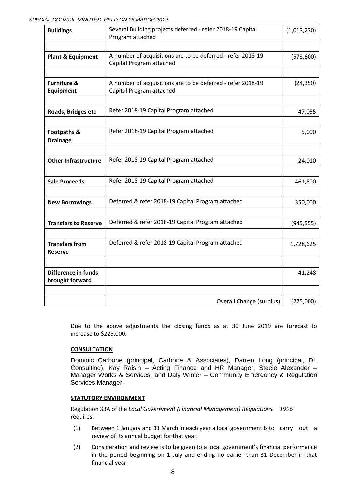#### SPECIAL COUNCIL MINUTES HELD ON 28 MARCH 2019

| <b>Buildings</b>                           | Several Building projects deferred - refer 2018-19 Capital<br>Program attached          | (1,013,270) |
|--------------------------------------------|-----------------------------------------------------------------------------------------|-------------|
| <b>Plant &amp; Equipment</b>               | A number of acquisitions are to be deferred - refer 2018-19<br>Capital Program attached | (573,600)   |
|                                            |                                                                                         |             |
| <b>Furniture &amp;</b><br><b>Equipment</b> | A number of acquisitions are to be deferred - refer 2018-19<br>Capital Program attached | (24, 350)   |
|                                            |                                                                                         |             |
| Roads, Bridges etc                         | Refer 2018-19 Capital Program attached                                                  | 47,055      |
|                                            |                                                                                         |             |
| Footpaths &<br><b>Drainage</b>             | Refer 2018-19 Capital Program attached                                                  | 5,000       |
|                                            |                                                                                         |             |
| <b>Other Infrastructure</b>                | Refer 2018-19 Capital Program attached                                                  | 24,010      |
|                                            |                                                                                         |             |
| <b>Sale Proceeds</b>                       | Refer 2018-19 Capital Program attached                                                  | 461,500     |
|                                            |                                                                                         |             |
| <b>New Borrowings</b>                      | Deferred & refer 2018-19 Capital Program attached                                       | 350,000     |
|                                            |                                                                                         |             |
| <b>Transfers to Reserve</b>                | Deferred & refer 2018-19 Capital Program attached                                       | (945, 555)  |
|                                            |                                                                                         |             |
| <b>Transfers from</b><br><b>Reserve</b>    | Deferred & refer 2018-19 Capital Program attached                                       | 1,728,625   |
|                                            |                                                                                         |             |
| Difference in funds<br>brought forward     |                                                                                         | 41,248      |
|                                            |                                                                                         |             |
|                                            | <b>Overall Change (surplus)</b>                                                         | (225,000)   |

Due to the above adjustments the closing funds as at 30 June 2019 are forecast to increase to \$225,000.

# **CONSULTATION**

Dominic Carbone (principal, Carbone & Associates), Darren Long (principal, DL Consulting), Kay Raisin – Acting Finance and HR Manager, Steele Alexander – Manager Works & Services, and Daly Winter – Community Emergency & Regulation Services Manager.

# **STATUTORY ENVIRONMENT**

Regulation 33A of the *Local Government (Financial Management) Regulations 1996* requires:

- (1) Between 1 January and 31 March in each year a local government is to carry out a review of its annual budget for that year.
- (2) Consideration and review is to be given to a local government's financial performance in the period beginning on 1 July and ending no earlier than 31 December in that financial year.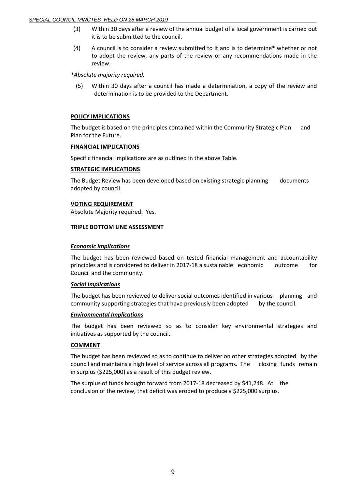#### *SPECIAL COUNCIL MINUTES HELD ON 28 MARCH 2019\_\_\_\_\_\_\_\_\_\_\_\_\_\_\_\_\_\_\_\_\_\_\_\_\_\_\_\_\_\_\_\_\_\_\_\_\_\_\_\_\_\_\_\_\_\_\_\_\_\_\_*

- (3) Within 30 days after a review of the annual budget of a local government is carried out it is to be submitted to the council.
- (4) A council is to consider a review submitted to it and is to determine\* whether or not to adopt the review, any parts of the review or any recommendations made in the review.

*\*Absolute majority required.*

(5) Within 30 days after a council has made a determination, a copy of the review and determination is to be provided to the Department.

#### **POLICY IMPLICATIONS**

The budget is based on the principles contained within the Community Strategic Plan and Plan for the Future.

#### **FINANCIAL IMPLICATIONS**

Specific financial implications are as outlined in the above Table.

#### **STRATEGIC IMPLICATIONS**

The Budget Review has been developed based on existing strategic planning documents adopted by council.

#### **VOTING REQUIREMENT**

Absolute Majority required: Yes.

#### **TRIPLE BOTTOM LINE ASSESSMENT**

#### *Economic Implications*

The budget has been reviewed based on tested financial management and accountability principles and is considered to deliver in 2017-18 a sustainable economic outcome for Council and the community.

#### *Social Implications*

The budget has been reviewed to deliver social outcomes identified in various planning and community supporting strategies that have previously been adopted by the council.

#### *Environmental Implications*

The budget has been reviewed so as to consider key environmental strategies and initiatives as supported by the council.

# **COMMENT**

The budget has been reviewed so as to continue to deliver on other strategies adopted by the council and maintains a high level of service across all programs. The closing funds remain in surplus (\$225,000) as a result of this budget review.

The surplus of funds brought forward from 2017-18 decreased by \$41,248. At the conclusion of the review, that deficit was eroded to produce a \$225,000 surplus.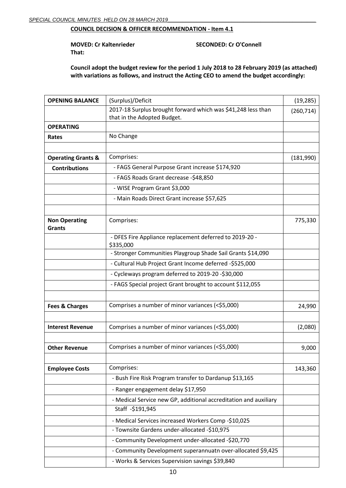# **COUNCIL DECISION & OFFICER RECOMMENDATION - Item 4.1**

**MOVED: Cr Kaltenrieder SECONDED: Cr O'Connell That:** 

**Council adopt the budget review for the period 1 July 2018 to 28 February 2019 (as attached) with variations as follows, and instruct the Acting CEO to amend the budget accordingly:**

| <b>OPENING BALANCE</b>                | (Surplus)/Deficit                                                    | (19, 285)  |
|---------------------------------------|----------------------------------------------------------------------|------------|
|                                       | 2017-18 Surplus brought forward which was \$41,248 less than         | (260, 714) |
|                                       | that in the Adopted Budget.                                          |            |
| <b>OPERATING</b>                      |                                                                      |            |
| Rates                                 | No Change                                                            |            |
|                                       |                                                                      |            |
| <b>Operating Grants &amp;</b>         | Comprises:                                                           | (181,990)  |
| <b>Contributions</b>                  | - FAGS General Purpose Grant increase \$174,920                      |            |
|                                       | - FAGS Roads Grant decrease -\$48,850                                |            |
|                                       | - WISE Program Grant \$3,000                                         |            |
|                                       | - Main Roads Direct Grant increase \$57,625                          |            |
|                                       |                                                                      |            |
| <b>Non Operating</b><br><b>Grants</b> | Comprises:                                                           | 775,330    |
|                                       | - DFES Fire Appliance replacement deferred to 2019-20 -<br>\$335,000 |            |
|                                       | - Stronger Communities Playgroup Shade Sail Grants \$14,090          |            |
|                                       | - Cultural Hub Project Grant Income deferred -\$525,000              |            |
|                                       | - Cycleways program deferred to 2019-20 -\$30,000                    |            |
|                                       | - FAGS Special project Grant brought to account \$112,055            |            |
| <b>Fees &amp; Charges</b>             | Comprises a number of minor variances (<\$5,000)                     | 24,990     |
| <b>Interest Revenue</b>               | Comprises a number of minor variances (<\$5,000)                     | (2,080)    |
| <b>Other Revenue</b>                  | Comprises a number of minor variances (<\$5,000)                     | 9,000      |
| <b>Employee Costs</b>                 | Comprises:                                                           | 143,360    |
|                                       | - Bush Fire Risk Program transfer to Dardanup \$13,165               |            |
|                                       | - Ranger engagement delay \$17,950                                   |            |
|                                       | - Medical Service new GP, additional accreditation and auxiliary     |            |
|                                       | Staff -\$191,945                                                     |            |
|                                       | - Medical Services increased Workers Comp -\$10,025                  |            |
|                                       | - Townsite Gardens under-allocated -\$10,975                         |            |
|                                       | - Community Development under-allocated -\$20,770                    |            |
|                                       | - Community Development superannuatn over-allocated \$9,425          |            |
|                                       | - Works & Services Supervision savings \$39,840                      |            |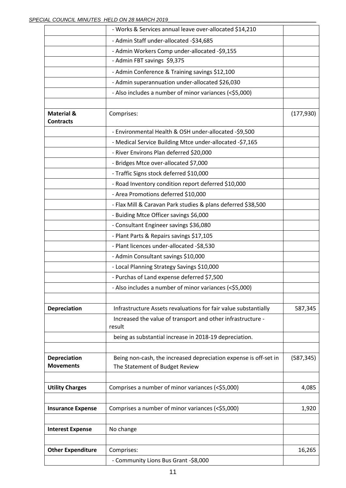|                                           | - Works & Services annual leave over-allocated \$14,210                                            |            |
|-------------------------------------------|----------------------------------------------------------------------------------------------------|------------|
|                                           | - Admin Staff under-allocated -\$34,685                                                            |            |
|                                           | - Admin Workers Comp under-allocated -\$9,155                                                      |            |
|                                           | - Admin FBT savings \$9,375                                                                        |            |
|                                           | - Admin Conference & Training savings \$12,100                                                     |            |
|                                           | - Admin superannuation under-allocated \$26,030                                                    |            |
|                                           | - Also includes a number of minor variances (<\$5,000)                                             |            |
| <b>Material &amp;</b><br><b>Contracts</b> | Comprises:                                                                                         | (177, 930) |
|                                           | - Environmental Health & OSH under-allocated -\$9,500                                              |            |
|                                           | - Medical Service Building Mtce under-allocated -\$7,165                                           |            |
|                                           | - River Environs Plan deferred \$20,000                                                            |            |
|                                           | - Bridges Mtce over-allocated \$7,000                                                              |            |
|                                           | - Traffic Signs stock deferred \$10,000                                                            |            |
|                                           | - Road Inventory condition report deferred \$10,000                                                |            |
|                                           | - Area Promotions deferred \$10,000                                                                |            |
|                                           | - Flax Mill & Caravan Park studies & plans deferred \$38,500                                       |            |
|                                           | - Buiding Mtce Officer savings \$6,000                                                             |            |
|                                           | - Consultant Engineer savings \$36,080                                                             |            |
|                                           | - Plant Parts & Repairs savings \$17,105                                                           |            |
|                                           | - Plant licences under-allocated -\$8,530                                                          |            |
|                                           | - Admin Consultant savings \$10,000                                                                |            |
|                                           | - Local Planning Strategy Savings \$10,000                                                         |            |
|                                           | - Purchas of Land expense deferred \$7,500                                                         |            |
|                                           | - Also includes a number of minor variances (<\$5,000)                                             |            |
| <b>Depreciation</b>                       | Infrastructure Assets revaluations for fair value substantially                                    | 587,345    |
|                                           | Increased the value of transport and other infrastructure -<br>result                              |            |
|                                           | being as substantial increase in 2018-19 depreciation.                                             |            |
| Depreciation<br><b>Movements</b>          | Being non-cash, the increased depreciation expense is off-set in<br>The Statement of Budget Review | (587, 345) |
| <b>Utility Charges</b>                    | Comprises a number of minor variances (<\$5,000)                                                   | 4,085      |
| <b>Insurance Expense</b>                  | Comprises a number of minor variances (<\$5,000)                                                   | 1,920      |
| <b>Interest Expense</b>                   | No change                                                                                          |            |
|                                           |                                                                                                    |            |
| <b>Other Expenditure</b>                  | Comprises:                                                                                         | 16,265     |
|                                           | - Community Lions Bus Grant -\$8,000                                                               |            |